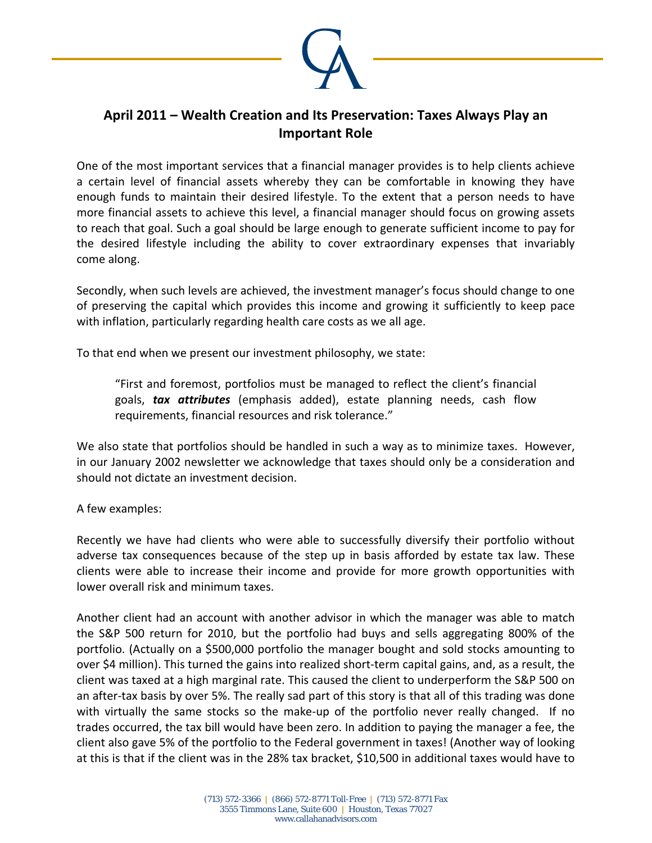

## **April 2011 – Wealth Creation and Its Preservation: Taxes Always Play an Important Role**

One of the most important services that a financial manager provides is to help clients achieve a certain level of financial assets whereby they can be comfortable in knowing they have enough funds to maintain their desired lifestyle. To the extent that a person needs to have more financial assets to achieve this level, a financial manager should focus on growing assets to reach that goal. Such a goal should be large enough to generate sufficient income to pay for the desired lifestyle including the ability to cover extraordinary expenses that invariably come along.

Secondly, when such levels are achieved, the investment manager's focus should change to one of preserving the capital which provides this income and growing it sufficiently to keep pace with inflation, particularly regarding health care costs as we all age.

To that end when we present our investment philosophy, we state:

"First and foremost, portfolios must be managed to reflect the client's financial goals, *tax attributes* (emphasis added), estate planning needs, cash flow requirements, financial resources and risk tolerance."

We also state that portfolios should be handled in such a way as to minimize taxes. However, in our January 2002 newsletter we acknowledge that taxes should only be a consideration and should not dictate an investment decision.

## A few examples:

Recently we have had clients who were able to successfully diversify their portfolio without adverse tax consequences because of the step up in basis afforded by estate tax law. These clients were able to increase their income and provide for more growth opportunities with lower overall risk and minimum taxes.

Another client had an account with another advisor in which the manager was able to match the S&P 500 return for 2010, but the portfolio had buys and sells aggregating 800% of the portfolio. (Actually on a \$500,000 portfolio the manager bought and sold stocks amounting to over \$4 million). This turned the gains into realized short‐term capital gains, and, as a result, the client was taxed at a high marginal rate. This caused the client to underperform the S&P 500 on an after-tax basis by over 5%. The really sad part of this story is that all of this trading was done with virtually the same stocks so the make-up of the portfolio never really changed. If no trades occurred, the tax bill would have been zero. In addition to paying the manager a fee, the client also gave 5% of the portfolio to the Federal government in taxes! (Another way of looking at this is that if the client was in the 28% tax bracket, \$10,500 in additional taxes would have to